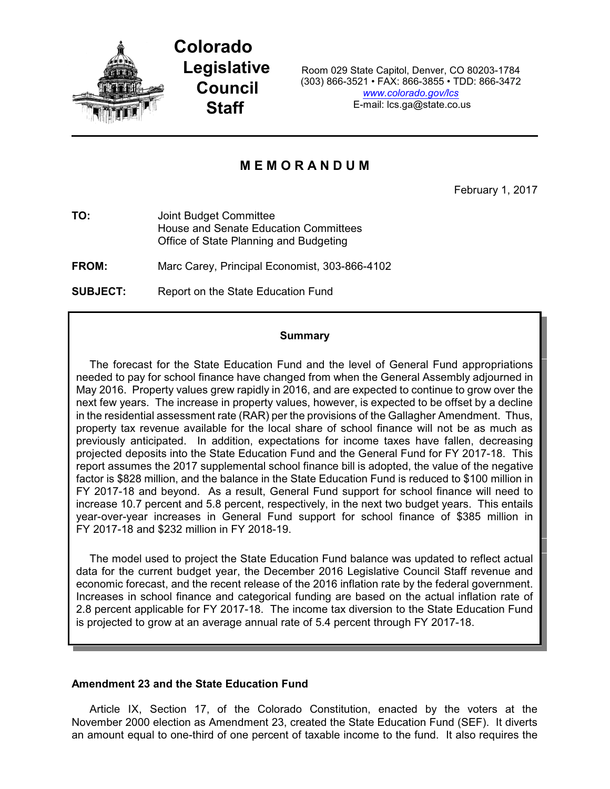

**Colorado Legislative Council Staff**

Room 029 State Capitol, Denver, CO 80203-1784 (303) 866-3521 • FAX: 866-3855 • TDD: 866-3472 *[www.colorado.gov/lcs](http://www.colorado.gov/lcs)* E-mail: lcs.ga@state.co.us

# **M E M O R A N D U M**

February 1, 2017

**TO:** Joint Budget Committee House and Senate Education Committees Office of State Planning and Budgeting

**FROM:** Marc Carey, Principal Economist, 303-866-4102

**SUBJECT:** Report on the State Education Fund

### **Summary**

The forecast for the State Education Fund and the level of General Fund appropriations needed to pay for school finance have changed from when the General Assembly adjourned in May 2016. Property values grew rapidly in 2016, and are expected to continue to grow over the next few years. The increase in property values, however, is expected to be offset by a decline in the residential assessment rate (RAR) per the provisions of the Gallagher Amendment. Thus, property tax revenue available for the local share of school finance will not be as much as previously anticipated. In addition, expectations for income taxes have fallen, decreasing projected deposits into the State Education Fund and the General Fund for FY 2017-18. This report assumes the 2017 supplemental school finance bill is adopted, the value of the negative factor is \$828 million, and the balance in the State Education Fund is reduced to \$100 million in FY 2017-18 and beyond. As a result, General Fund support for school finance will need to increase 10.7 percent and 5.8 percent, respectively, in the next two budget years. This entails year-over-year increases in General Fund support for school finance of \$385 million in FY 2017-18 and \$232 million in FY 2018-19.

The model used to project the State Education Fund balance was updated to reflect actual data for the current budget year, the December 2016 Legislative Council Staff revenue and economic forecast, and the recent release of the 2016 inflation rate by the federal government. Increases in school finance and categorical funding are based on the actual inflation rate of 2.8 percent applicable for FY 2017-18. The income tax diversion to the State Education Fund is projected to grow at an average annual rate of 5.4 percent through FY 2017-18.

## **Amendment 23 and the State Education Fund**

Article IX, Section 17, of the Colorado Constitution, enacted by the voters at the November 2000 election as Amendment 23, created the State Education Fund (SEF). It diverts an amount equal to one-third of one percent of taxable income to the fund. It also requires the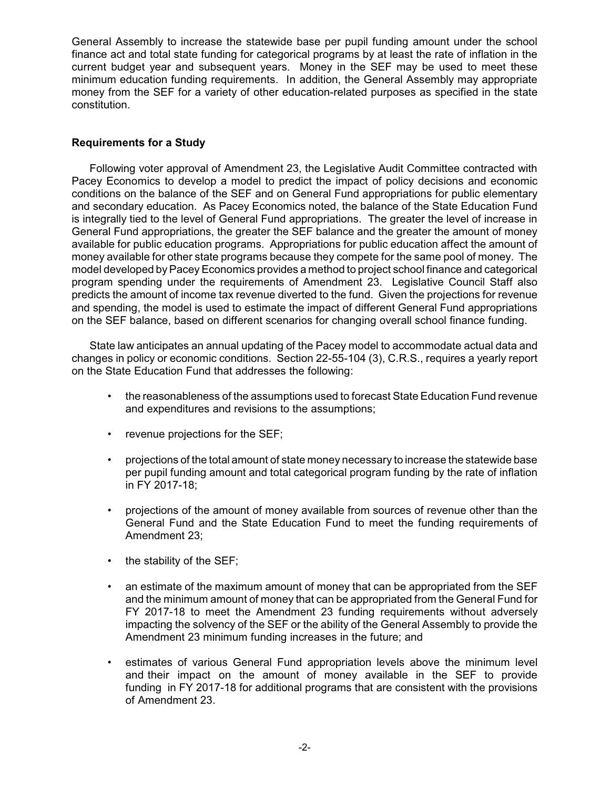General Assembly to increase the statewide base per pupil funding amount under the school finance act and total state funding for categorical programs by at least the rate of inflation in the current budget year and subsequent years. Money in the SEF may be used to meet these minimum education funding requirements. In addition, the General Assembly may appropriate money from the SEF for a variety of other education-related purposes as specified in the state constitution.

## **Requirements for a Study**

Following voter approval of Amendment 23, the Legislative Audit Committee contracted with Pacey Economics to develop a model to predict the impact of policy decisions and economic conditions on the balance of the SEF and on General Fund appropriations for public elementary and secondary education. As Pacey Economics noted, the balance of the State Education Fund is integrally tied to the level of General Fund appropriations. The greater the level of increase in General Fund appropriations, the greater the SEF balance and the greater the amount of money available for public education programs. Appropriations for public education affect the amount of money available for other state programs because they compete for the same pool of money. The model developed by Pacey Economics provides a method to project school finance and categorical program spending under the requirements of Amendment 23. Legislative Council Staff also predicts the amount of income tax revenue diverted to the fund. Given the projections for revenue and spending, the model is used to estimate the impact of different General Fund appropriations on the SEF balance, based on different scenarios for changing overall school finance funding.

State law anticipates an annual updating of the Pacey model to accommodate actual data and changes in policy or economic conditions. Section 22-55-104 (3), C.R.S., requires a yearly report on the State Education Fund that addresses the following:

- the reasonableness of the assumptions used to forecast State Education Fund revenue and expenditures and revisions to the assumptions;
- revenue projections for the SEF;
- projections of the total amount of state money necessary to increase the statewide base per pupil funding amount and total categorical program funding by the rate of inflation in FY 2017-18;
- projections of the amount of money available from sources of revenue other than the General Fund and the State Education Fund to meet the funding requirements of Amendment 23;
- the stability of the SEF;
- an estimate of the maximum amount of money that can be appropriated from the SEF and the minimum amount of money that can be appropriated from the General Fund for FY 2017-18 to meet the Amendment 23 funding requirements without adversely impacting the solvency of the SEF or the ability of the General Assembly to provide the Amendment 23 minimum funding increases in the future; and
- estimates of various General Fund appropriation levels above the minimum level and their impact on the amount of money available in the SEF to provide funding in FY 2017-18 for additional programs that are consistent with the provisions of Amendment 23.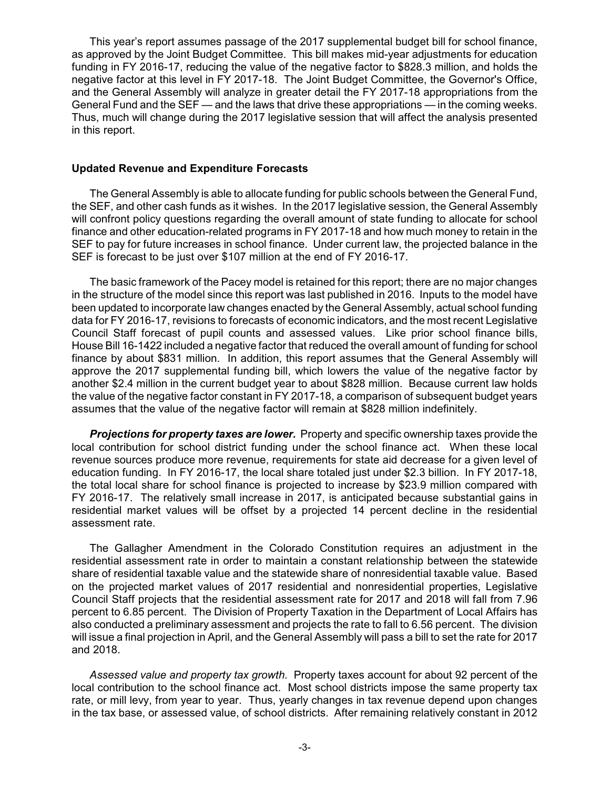This year's report assumes passage of the 2017 supplemental budget bill for school finance, as approved by the Joint Budget Committee. This bill makes mid-year adjustments for education funding in FY 2016-17, reducing the value of the negative factor to \$828.3 million, and holds the negative factor at this level in FY 2017-18. The Joint Budget Committee, the Governor's Office, and the General Assembly will analyze in greater detail the FY 2017-18 appropriations from the General Fund and the SEF — and the laws that drive these appropriations — in the coming weeks. Thus, much will change during the 2017 legislative session that will affect the analysis presented in this report.

### **Updated Revenue and Expenditure Forecasts**

The General Assembly is able to allocate funding for public schools between the General Fund, the SEF, and other cash funds as it wishes. In the 2017 legislative session, the General Assembly will confront policy questions regarding the overall amount of state funding to allocate for school finance and other education-related programs in FY 2017-18 and how much money to retain in the SEF to pay for future increases in school finance. Under current law, the projected balance in the SEF is forecast to be just over \$107 million at the end of FY 2016-17.

The basic framework of the Pacey model is retained for this report; there are no major changes in the structure of the model since this report was last published in 2016. Inputs to the model have been updated to incorporate law changes enacted by the General Assembly, actual school funding data for FY 2016-17, revisions to forecasts of economic indicators, and the most recent Legislative Council Staff forecast of pupil counts and assessed values. Like prior school finance bills, House Bill 16-1422 included a negative factor that reduced the overall amount of funding for school finance by about \$831 million. In addition, this report assumes that the General Assembly will approve the 2017 supplemental funding bill, which lowers the value of the negative factor by another \$2.4 million in the current budget year to about \$828 million. Because current law holds the value of the negative factor constant in FY 2017-18, a comparison of subsequent budget years assumes that the value of the negative factor will remain at \$828 million indefinitely.

*Projections for property taxes are lower.* Property and specific ownership taxes provide the local contribution for school district funding under the school finance act. When these local revenue sources produce more revenue, requirements for state aid decrease for a given level of education funding. In FY 2016-17, the local share totaled just under \$2.3 billion. In FY 2017-18, the total local share for school finance is projected to increase by \$23.9 million compared with FY 2016-17. The relatively small increase in 2017, is anticipated because substantial gains in residential market values will be offset by a projected 14 percent decline in the residential assessment rate.

The Gallagher Amendment in the Colorado Constitution requires an adjustment in the residential assessment rate in order to maintain a constant relationship between the statewide share of residential taxable value and the statewide share of nonresidential taxable value. Based on the projected market values of 2017 residential and nonresidential properties, Legislative Council Staff projects that the residential assessment rate for 2017 and 2018 will fall from 7.96 percent to 6.85 percent. The Division of Property Taxation in the Department of Local Affairs has also conducted a preliminary assessment and projects the rate to fall to 6.56 percent. The division will issue a final projection in April, and the General Assembly will pass a bill to set the rate for 2017 and 2018.

*Assessed value and property tax growth.* Property taxes account for about 92 percent of the local contribution to the school finance act. Most school districts impose the same property tax rate, or mill levy, from year to year. Thus, yearly changes in tax revenue depend upon changes in the tax base, or assessed value, of school districts. After remaining relatively constant in 2012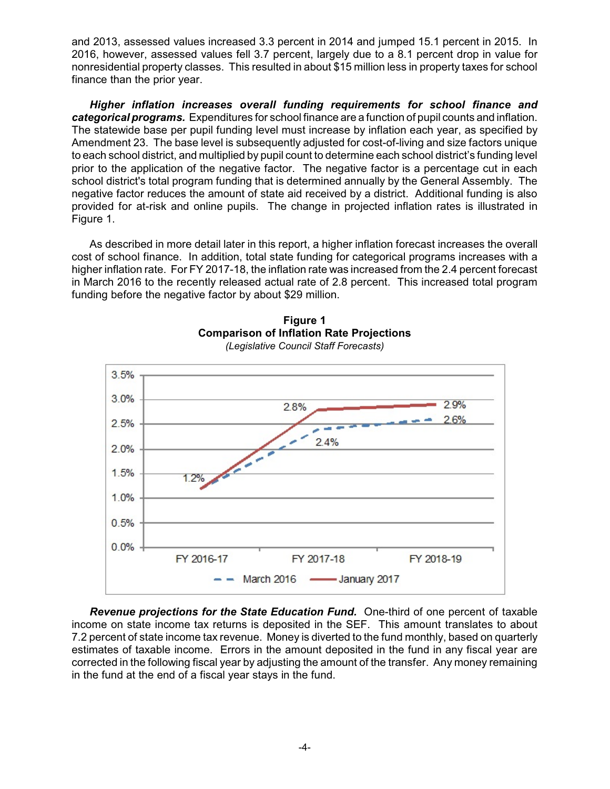and 2013, assessed values increased 3.3 percent in 2014 and jumped 15.1 percent in 2015. In 2016, however, assessed values fell 3.7 percent, largely due to a 8.1 percent drop in value for nonresidential property classes. This resulted in about \$15 million less in property taxes for school finance than the prior year.

*Higher inflation increases overall funding requirements for school finance and categorical programs.* Expenditures for school finance are a function of pupil counts and inflation. The statewide base per pupil funding level must increase by inflation each year, as specified by Amendment 23. The base level is subsequently adjusted for cost-of-living and size factors unique to each school district, and multiplied by pupil count to determine each school district's funding level prior to the application of the negative factor. The negative factor is a percentage cut in each school district's total program funding that is determined annually by the General Assembly. The negative factor reduces the amount of state aid received by a district. Additional funding is also provided for at-risk and online pupils. The change in projected inflation rates is illustrated in Figure 1.

As described in more detail later in this report, a higher inflation forecast increases the overall cost of school finance. In addition, total state funding for categorical programs increases with a higher inflation rate. For FY 2017-18, the inflation rate was increased from the 2.4 percent forecast in March 2016 to the recently released actual rate of 2.8 percent. This increased total program funding before the negative factor by about \$29 million.



**Figure 1 Comparison of Inflation Rate Projections** *(Legislative Council Staff Forecasts)*

*Revenue projections for the State Education Fund.* One-third of one percent of taxable income on state income tax returns is deposited in the SEF. This amount translates to about 7.2 percent of state income tax revenue. Money is diverted to the fund monthly, based on quarterly estimates of taxable income. Errors in the amount deposited in the fund in any fiscal year are corrected in the following fiscal year by adjusting the amount of the transfer. Any money remaining in the fund at the end of a fiscal year stays in the fund.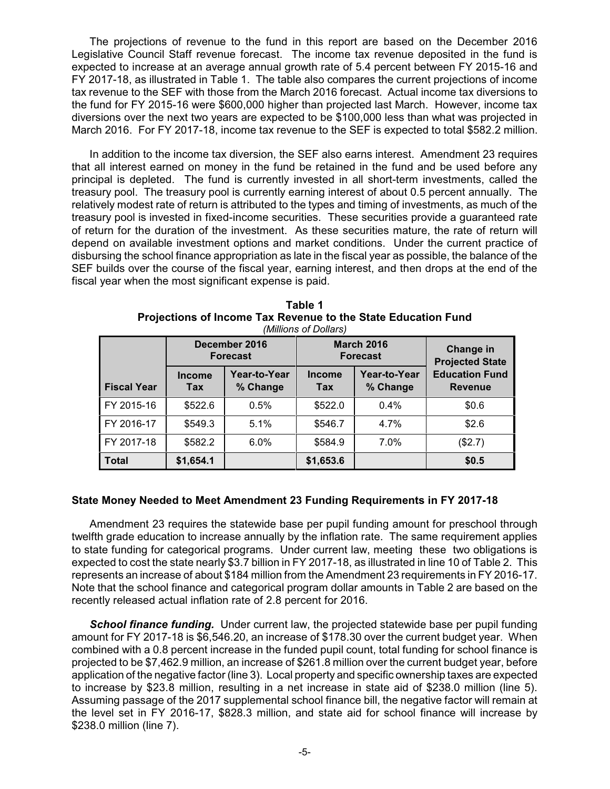The projections of revenue to the fund in this report are based on the December 2016 Legislative Council Staff revenue forecast. The income tax revenue deposited in the fund is expected to increase at an average annual growth rate of 5.4 percent between FY 2015-16 and FY 2017-18, as illustrated in Table 1. The table also compares the current projections of income tax revenue to the SEF with those from the March 2016 forecast. Actual income tax diversions to the fund for FY 2015-16 were \$600,000 higher than projected last March. However, income tax diversions over the next two years are expected to be \$100,000 less than what was projected in March 2016. For FY 2017-18, income tax revenue to the SEF is expected to total \$582.2 million.

In addition to the income tax diversion, the SEF also earns interest. Amendment 23 requires that all interest earned on money in the fund be retained in the fund and be used before any principal is depleted. The fund is currently invested in all short-term investments, called the treasury pool. The treasury pool is currently earning interest of about 0.5 percent annually. The relatively modest rate of return is attributed to the types and timing of investments, as much of the treasury pool is invested in fixed-income securities. These securities provide a guaranteed rate of return for the duration of the investment. As these securities mature, the rate of return will depend on available investment options and market conditions. Under the current practice of disbursing the school finance appropriation as late in the fiscal year as possible, the balance of the SEF builds over the course of the fiscal year, earning interest, and then drops at the end of the fiscal year when the most significant expense is paid.

|                    |                      | December 2016<br><b>Forecast</b> |                      | <b>March 2016</b><br><b>Forecast</b> | <b>Change in</b><br><b>Projected State</b> |  |
|--------------------|----------------------|----------------------------------|----------------------|--------------------------------------|--------------------------------------------|--|
| <b>Fiscal Year</b> | <b>Income</b><br>Tax | Year-to-Year<br>% Change         | <b>Income</b><br>Tax | Year-to-Year<br>% Change             | <b>Education Fund</b><br><b>Revenue</b>    |  |
| FY 2015-16         | \$522.6              | 0.5%                             | \$522.0              | $0.4\%$                              | \$0.6                                      |  |
| FY 2016-17         | \$549.3              | 5.1%                             | \$546.7              | 4.7%                                 | \$2.6                                      |  |
| FY 2017-18         | \$582.2              | 6.0%                             | \$584.9              | 7.0%                                 | (\$2.7)                                    |  |
| <b>Total</b>       | \$1,654.1            |                                  | \$1,653.6            |                                      | \$0.5                                      |  |

**Table 1 Projections of Income Tax Revenue to the State Education Fund** *(Millions of Dollars)*

## **State Money Needed to Meet Amendment 23 Funding Requirements in FY 2017-18**

Amendment 23 requires the statewide base per pupil funding amount for preschool through twelfth grade education to increase annually by the inflation rate. The same requirement applies to state funding for categorical programs. Under current law, meeting these two obligations is expected to cost the state nearly \$3.7 billion in FY 2017-18, as illustrated in line 10 of Table 2. This represents an increase of about \$184 million from the Amendment 23 requirements in FY 2016-17. Note that the school finance and categorical program dollar amounts in Table 2 are based on the recently released actual inflation rate of 2.8 percent for 2016.

*School finance funding.* Under current law, the projected statewide base per pupil funding amount for FY 2017-18 is \$6,546.20, an increase of \$178.30 over the current budget year. When combined with a 0.8 percent increase in the funded pupil count, total funding for school finance is projected to be \$7,462.9 million, an increase of \$261.8 million over the current budget year, before application of the negative factor (line 3). Local property and specific ownership taxes are expected to increase by \$23.8 million, resulting in a net increase in state aid of \$238.0 million (line 5). Assuming passage of the 2017 supplemental school finance bill, the negative factor will remain at the level set in FY 2016-17, \$828.3 million, and state aid for school finance will increase by \$238.0 million (line 7).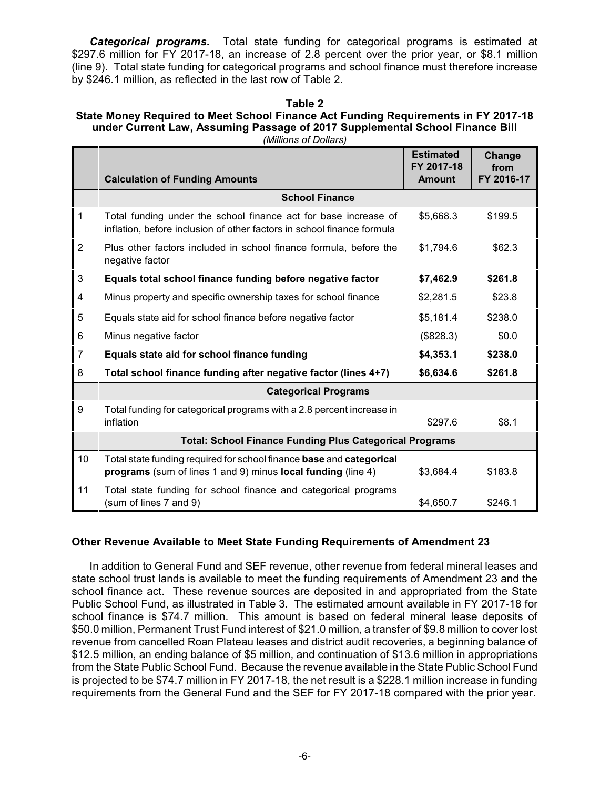*Categorical programs.* Total state funding for categorical programs is estimated at \$297.6 million for FY 2017-18, an increase of 2.8 percent over the prior year, or \$8.1 million (line 9). Total state funding for categorical programs and school finance must therefore increase by \$246.1 million, as reflected in the last row of Table 2.

## **Table 2**

### **State Money Required to Meet School Finance Act Funding Requirements in FY 2017-18 under Current Law, Assuming Passage of 2017 Supplemental School Finance Bill** *(Millions of Dollars)*

|                |                                                                                                                                           | <b>Estimated</b><br>FY 2017-18 | Change<br>from |  |  |  |  |  |  |  |
|----------------|-------------------------------------------------------------------------------------------------------------------------------------------|--------------------------------|----------------|--|--|--|--|--|--|--|
|                | <b>Calculation of Funding Amounts</b>                                                                                                     | <b>Amount</b>                  | FY 2016-17     |  |  |  |  |  |  |  |
|                | <b>School Finance</b>                                                                                                                     |                                |                |  |  |  |  |  |  |  |
| $\mathbf{1}$   | Total funding under the school finance act for base increase of<br>inflation, before inclusion of other factors in school finance formula | \$5,668.3                      | \$199.5        |  |  |  |  |  |  |  |
| $\overline{2}$ | Plus other factors included in school finance formula, before the<br>negative factor                                                      | \$1,794.6                      | \$62.3         |  |  |  |  |  |  |  |
| 3              | Equals total school finance funding before negative factor                                                                                | \$7,462.9                      | \$261.8        |  |  |  |  |  |  |  |
| 4              | Minus property and specific ownership taxes for school finance                                                                            | \$2,281.5                      | \$23.8         |  |  |  |  |  |  |  |
| 5              | Equals state aid for school finance before negative factor                                                                                | \$5,181.4                      | \$238.0        |  |  |  |  |  |  |  |
| 6              | Minus negative factor                                                                                                                     | (\$828.3)                      | \$0.0          |  |  |  |  |  |  |  |
| $\overline{7}$ | Equals state aid for school finance funding                                                                                               | \$4,353.1                      | \$238.0        |  |  |  |  |  |  |  |
| 8              | Total school finance funding after negative factor (lines 4+7)                                                                            | \$6,634.6                      | \$261.8        |  |  |  |  |  |  |  |
|                | <b>Categorical Programs</b>                                                                                                               |                                |                |  |  |  |  |  |  |  |
| 9              | Total funding for categorical programs with a 2.8 percent increase in<br>inflation                                                        | \$297.6                        | \$8.1          |  |  |  |  |  |  |  |
|                | <b>Total: School Finance Funding Plus Categorical Programs</b>                                                                            |                                |                |  |  |  |  |  |  |  |
| 10             | Total state funding required for school finance base and categorical<br>programs (sum of lines 1 and 9) minus local funding (line 4)      | \$3,684.4                      | \$183.8        |  |  |  |  |  |  |  |
| 11             | Total state funding for school finance and categorical programs<br>(sum of lines 7 and 9)                                                 | \$4,650.7                      | \$246.1        |  |  |  |  |  |  |  |

## **Other Revenue Available to Meet State Funding Requirements of Amendment 23**

In addition to General Fund and SEF revenue, other revenue from federal mineral leases and state school trust lands is available to meet the funding requirements of Amendment 23 and the school finance act. These revenue sources are deposited in and appropriated from the State Public School Fund, as illustrated in Table 3. The estimated amount available in FY 2017-18 for school finance is \$74.7 million. This amount is based on federal mineral lease deposits of \$50.0 million, Permanent Trust Fund interest of \$21.0 million, a transfer of \$9.8 million to cover lost revenue from cancelled Roan Plateau leases and district audit recoveries, a beginning balance of \$12.5 million, an ending balance of \$5 million, and continuation of \$13.6 million in appropriations from the State Public School Fund. Because the revenue available in the State Public School Fund is projected to be \$74.7 million in FY 2017-18, the net result is a \$228.1 million increase in funding requirements from the General Fund and the SEF for FY 2017-18 compared with the prior year.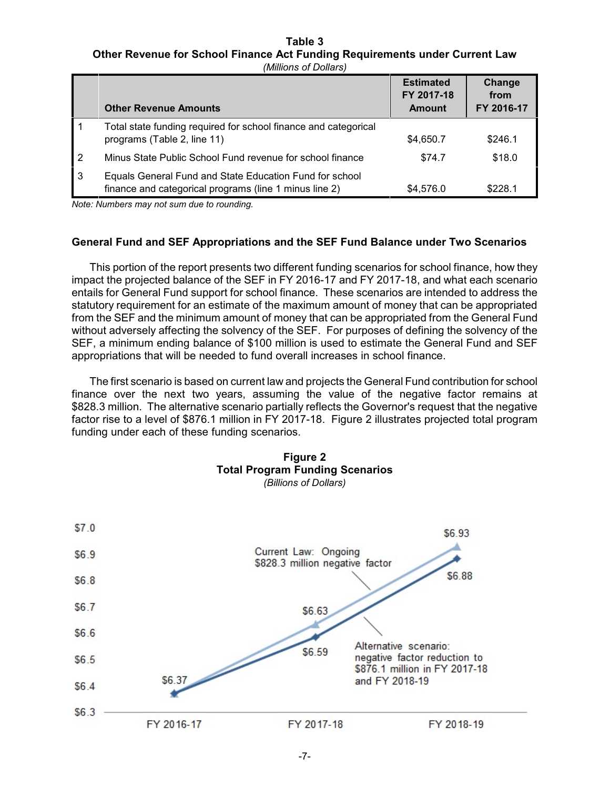# **Table 3 Other Revenue for School Finance Act Funding Requirements under Current Law**

|                | <b>Other Revenue Amounts</b>                                                                                      | <b>Estimated</b><br>FY 2017-18<br>Amount | Change<br>from<br>FY 2016-17 |
|----------------|-------------------------------------------------------------------------------------------------------------------|------------------------------------------|------------------------------|
|                | Total state funding required for school finance and categorical<br>programs (Table 2, line 11)                    | \$4,650.7                                | \$246.1                      |
| $\overline{2}$ | Minus State Public School Fund revenue for school finance                                                         | \$74.7                                   | \$18.0                       |
| 3              | Equals General Fund and State Education Fund for school<br>finance and categorical programs (line 1 minus line 2) | \$4,576.0                                | \$228.1                      |

*Note: Numbers may not sum due to rounding.*

## **General Fund and SEF Appropriations and the SEF Fund Balance under Two Scenarios**

This portion of the report presents two different funding scenarios for school finance, how they impact the projected balance of the SEF in FY 2016-17 and FY 2017-18, and what each scenario entails for General Fund support for school finance. These scenarios are intended to address the statutory requirement for an estimate of the maximum amount of money that can be appropriated from the SEF and the minimum amount of money that can be appropriated from the General Fund without adversely affecting the solvency of the SEF. For purposes of defining the solvency of the SEF, a minimum ending balance of \$100 million is used to estimate the General Fund and SEF appropriations that will be needed to fund overall increases in school finance.

The first scenario is based on current law and projects the General Fund contribution for school finance over the next two years, assuming the value of the negative factor remains at \$828.3 million. The alternative scenario partially reflects the Governor's request that the negative factor rise to a level of \$876.1 million in FY 2017-18. Figure 2 illustrates projected total program funding under each of these funding scenarios.

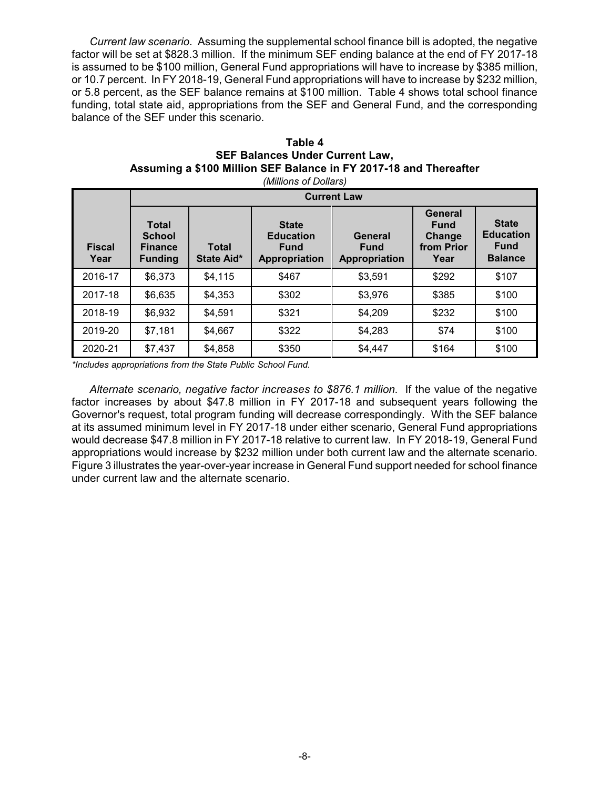*Current law scenario*. Assuming the supplemental school finance bill is adopted, the negative factor will be set at \$828.3 million. If the minimum SEF ending balance at the end of FY 2017-18 is assumed to be \$100 million, General Fund appropriations will have to increase by \$385 million, or 10.7 percent. In FY 2018-19, General Fund appropriations will have to increase by \$232 million, or 5.8 percent, as the SEF balance remains at \$100 million. Table 4 shows total school finance funding, total state aid, appropriations from the SEF and General Fund, and the corresponding balance of the SEF under this scenario.

| (Millions of Dollars) |                                                                                                 |         |                                                                  |                                         |                                                        |                                                                   |  |  |  |
|-----------------------|-------------------------------------------------------------------------------------------------|---------|------------------------------------------------------------------|-----------------------------------------|--------------------------------------------------------|-------------------------------------------------------------------|--|--|--|
|                       | <b>Current Law</b>                                                                              |         |                                                                  |                                         |                                                        |                                                                   |  |  |  |
| <b>Fiscal</b><br>Year | <b>Total</b><br><b>School</b><br><b>Total</b><br><b>Finance</b><br>State Aid*<br><b>Funding</b> |         | <b>State</b><br><b>Education</b><br><b>Fund</b><br>Appropriation | General<br><b>Fund</b><br>Appropriation | General<br><b>Fund</b><br>Change<br>from Prior<br>Year | <b>State</b><br><b>Education</b><br><b>Fund</b><br><b>Balance</b> |  |  |  |
| 2016-17               | \$6,373                                                                                         | \$4,115 | \$467                                                            | \$3,591                                 | \$292                                                  | \$107                                                             |  |  |  |
| 2017-18               | \$6,635                                                                                         | \$4,353 | \$302                                                            | \$3,976                                 | \$385                                                  | \$100                                                             |  |  |  |
| 2018-19               | \$6,932                                                                                         | \$4,591 | \$321                                                            | \$4,209                                 | \$232                                                  | \$100                                                             |  |  |  |
| 2019-20               | \$7,181                                                                                         | \$4,667 | \$322                                                            | \$4,283                                 | \$74                                                   | \$100                                                             |  |  |  |
| 2020-21               | \$7,437                                                                                         | \$4,858 | \$350                                                            | \$4,447                                 | \$164                                                  | \$100                                                             |  |  |  |

## **Table 4 SEF Balances Under Current Law, Assuming a \$100 Million SEF Balance in FY 2017-18 and Thereafter**

*\*Includes appropriations from the State Public School Fund.*

*Alternate scenario, negative factor increases to \$876.1 million*. If the value of the negative factor increases by about \$47.8 million in FY 2017-18 and subsequent years following the Governor's request, total program funding will decrease correspondingly. With the SEF balance at its assumed minimum level in FY 2017-18 under either scenario, General Fund appropriations would decrease \$47.8 million in FY 2017-18 relative to current law. In FY 2018-19, General Fund appropriations would increase by \$232 million under both current law and the alternate scenario. Figure 3 illustrates the year-over-year increase in General Fund support needed for school finance under current law and the alternate scenario.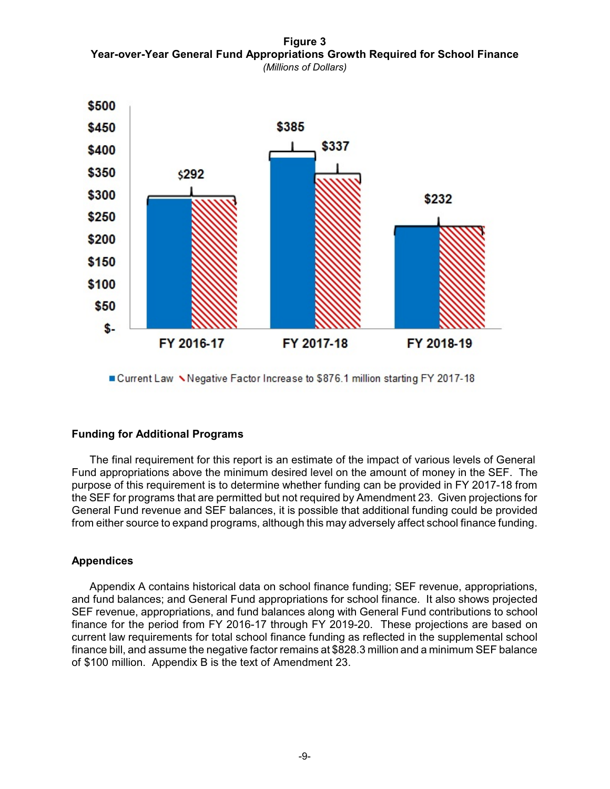**Figure 3 Year-over-Year General Fund Appropriations Growth Required for School Finance** *(Millions of Dollars)*



■ Current Law Negative Factor Increase to \$876.1 million starting FY 2017-18

## **Funding for Additional Programs**

The final requirement for this report is an estimate of the impact of various levels of General Fund appropriations above the minimum desired level on the amount of money in the SEF. The purpose of this requirement is to determine whether funding can be provided in FY 2017-18 from the SEF for programs that are permitted but not required by Amendment 23. Given projections for General Fund revenue and SEF balances, it is possible that additional funding could be provided from either source to expand programs, although this may adversely affect school finance funding.

## **Appendices**

Appendix A contains historical data on school finance funding; SEF revenue, appropriations, and fund balances; and General Fund appropriations for school finance. It also shows projected SEF revenue, appropriations, and fund balances along with General Fund contributions to school finance for the period from FY 2016-17 through FY 2019-20. These projections are based on current law requirements for total school finance funding as reflected in the supplemental school finance bill, and assume the negative factor remains at \$828.3 million and a minimum SEF balance of \$100 million. Appendix B is the text of Amendment 23.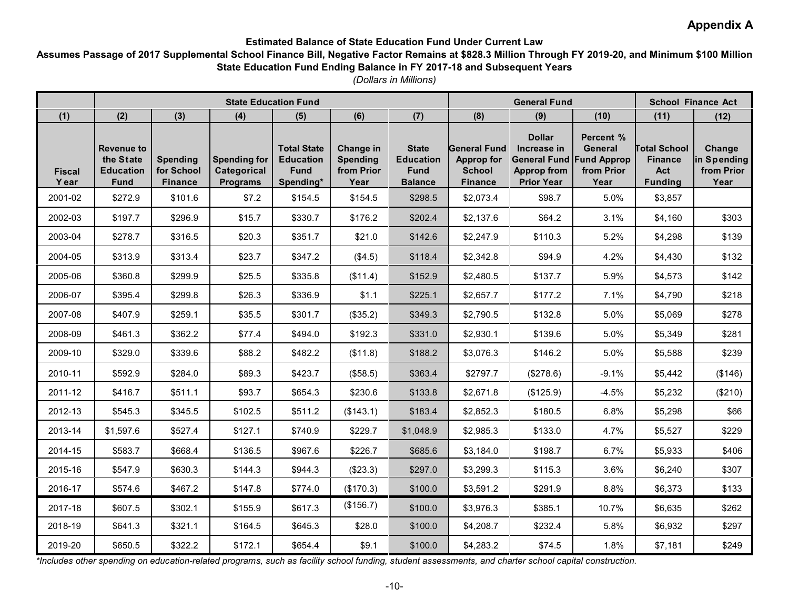# **Appendix A**

## **Estimated Balance of State Education Fund Under Current Law**

## **Assumes Passage of 2017 Supplemental School Finance Bill, Negative Factor Remains at \$828.3 Million Through FY 2019-20, and Minimum \$100 Million State Education Fund Ending Balance in FY 2017-18 and Subsequent Years**

*(Dollars in Millions)*

|                        | <b>State Education Fund</b>                                       |                                                 |                                                              |                                                                    |                                                    |                                                                   | <b>General Fund</b>                                                         |                                                                                                            |                                            | <b>School Finance Act</b>                                      |                                             |
|------------------------|-------------------------------------------------------------------|-------------------------------------------------|--------------------------------------------------------------|--------------------------------------------------------------------|----------------------------------------------------|-------------------------------------------------------------------|-----------------------------------------------------------------------------|------------------------------------------------------------------------------------------------------------|--------------------------------------------|----------------------------------------------------------------|---------------------------------------------|
| (1)                    | (2)                                                               | (3)                                             | (4)                                                          | (5)                                                                | (6)                                                | (7)                                                               | (8)                                                                         | (9)                                                                                                        | (10)                                       | (11)                                                           | (12)                                        |
| <b>Fiscal</b><br>Y ear | <b>Revenue to</b><br>the State<br><b>Education</b><br><b>Fund</b> | <b>Spending</b><br>for School<br><b>Finance</b> | <b>Spending for</b><br><b>Categorical</b><br><b>Programs</b> | <b>Total State</b><br><b>Education</b><br><b>Fund</b><br>Spending* | Change in<br><b>Spending</b><br>from Prior<br>Year | <b>State</b><br><b>Education</b><br><b>Fund</b><br><b>Balance</b> | <b>General Fund</b><br><b>Approp for</b><br><b>School</b><br><b>Finance</b> | <b>Dollar</b><br>Increase in<br><b>General Fund Fund Approp</b><br><b>Approp from</b><br><b>Prior Year</b> | Percent %<br>General<br>from Prior<br>Year | <b>Total School</b><br><b>Finance</b><br>Act<br><b>Funding</b> | Change<br>in Spending<br>from Prior<br>Year |
| 2001-02                | \$272.9                                                           | \$101.6                                         | \$7.2                                                        | \$154.5                                                            | \$154.5                                            | \$298.5                                                           | \$2,073.4                                                                   | \$98.7                                                                                                     | 5.0%                                       | \$3,857                                                        |                                             |
| 2002-03                | \$197.7                                                           | \$296.9                                         | \$15.7                                                       | \$330.7                                                            | \$176.2                                            | \$202.4                                                           | \$2,137.6                                                                   | \$64.2                                                                                                     | 3.1%                                       | \$4,160                                                        | \$303                                       |
| 2003-04                | \$278.7                                                           | \$316.5                                         | \$20.3                                                       | \$351.7                                                            | \$21.0                                             | \$142.6                                                           | \$2,247.9                                                                   | \$110.3                                                                                                    | 5.2%                                       | \$4,298                                                        | \$139                                       |
| 2004-05                | \$313.9                                                           | \$313.4                                         | \$23.7                                                       | \$347.2                                                            | (\$4.5)                                            | \$118.4                                                           | \$2,342.8                                                                   | \$94.9                                                                                                     | 4.2%                                       | \$4,430                                                        | \$132                                       |
| 2005-06                | \$360.8                                                           | \$299.9                                         | \$25.5                                                       | \$335.8                                                            | (\$11.4)                                           | \$152.9                                                           | \$2,480.5                                                                   | \$137.7                                                                                                    | 5.9%                                       | \$4,573                                                        | \$142                                       |
| 2006-07                | \$395.4                                                           | \$299.8                                         | \$26.3                                                       | \$336.9                                                            | \$1.1                                              | \$225.1                                                           | \$2,657.7                                                                   | \$177.2                                                                                                    | 7.1%                                       | \$4,790                                                        | \$218                                       |
| 2007-08                | \$407.9                                                           | \$259.1                                         | \$35.5                                                       | \$301.7                                                            | (\$35.2)                                           | \$349.3                                                           | \$2,790.5                                                                   | \$132.8                                                                                                    | 5.0%                                       | \$5,069                                                        | \$278                                       |
| 2008-09                | \$461.3                                                           | \$362.2                                         | \$77.4                                                       | \$494.0                                                            | \$192.3                                            | \$331.0                                                           | \$2,930.1                                                                   | \$139.6                                                                                                    | 5.0%                                       | \$5,349                                                        | \$281                                       |
| 2009-10                | \$329.0                                                           | \$339.6                                         | \$88.2                                                       | \$482.2                                                            | (\$11.8)                                           | \$188.2                                                           | \$3,076.3                                                                   | \$146.2                                                                                                    | 5.0%                                       | \$5,588                                                        | \$239                                       |
| 2010-11                | \$592.9                                                           | \$284.0                                         | \$89.3                                                       | \$423.7                                                            | (\$58.5)                                           | \$363.4                                                           | \$2797.7                                                                    | (\$278.6)                                                                                                  | $-9.1%$                                    | \$5,442                                                        | (\$146)                                     |
| 2011-12                | \$416.7                                                           | \$511.1                                         | \$93.7                                                       | \$654.3                                                            | \$230.6                                            | \$133.8                                                           | \$2,671.8                                                                   | (\$125.9)                                                                                                  | $-4.5%$                                    | \$5,232                                                        | (\$210)                                     |
| 2012-13                | \$545.3                                                           | \$345.5                                         | \$102.5                                                      | \$511.2                                                            | (\$143.1)                                          | \$183.4                                                           | \$2,852.3                                                                   | \$180.5                                                                                                    | 6.8%                                       | \$5,298                                                        | \$66                                        |
| 2013-14                | \$1,597.6                                                         | \$527.4                                         | \$127.1                                                      | \$740.9                                                            | \$229.7                                            | \$1,048.9                                                         | \$2,985.3                                                                   | \$133.0                                                                                                    | 4.7%                                       | \$5,527                                                        | \$229                                       |
| 2014-15                | \$583.7                                                           | \$668.4                                         | \$136.5                                                      | \$967.6                                                            | \$226.7                                            | \$685.6                                                           | \$3,184.0                                                                   | \$198.7                                                                                                    | 6.7%                                       | \$5,933                                                        | \$406                                       |
| 2015-16                | \$547.9                                                           | \$630.3                                         | \$144.3                                                      | \$944.3                                                            | (\$23.3)                                           | \$297.0                                                           | \$3,299.3                                                                   | \$115.3                                                                                                    | 3.6%                                       | \$6,240                                                        | \$307                                       |
| 2016-17                | \$574.6                                                           | \$467.2                                         | \$147.8                                                      | \$774.0                                                            | (\$170.3)                                          | \$100.0                                                           | \$3,591.2                                                                   | \$291.9                                                                                                    | 8.8%                                       | \$6,373                                                        | \$133                                       |
| 2017-18                | \$607.5                                                           | \$302.1                                         | \$155.9                                                      | \$617.3                                                            | (\$156.7)                                          | \$100.0                                                           | \$3,976.3                                                                   | \$385.1                                                                                                    | 10.7%                                      | \$6,635                                                        | \$262                                       |
| 2018-19                | \$641.3                                                           | \$321.1                                         | \$164.5                                                      | \$645.3                                                            | \$28.0                                             | \$100.0                                                           | \$4,208.7                                                                   | \$232.4                                                                                                    | 5.8%                                       | \$6,932                                                        | \$297                                       |
| 2019-20                | \$650.5                                                           | \$322.2                                         | \$172.1                                                      | \$654.4                                                            | \$9.1                                              | \$100.0                                                           | \$4,283.2                                                                   | \$74.5                                                                                                     | 1.8%                                       | \$7,181                                                        | \$249                                       |

*\*Includes other spending on education-related programs, such as facility school funding, student assessments, and charter school capital construction.*